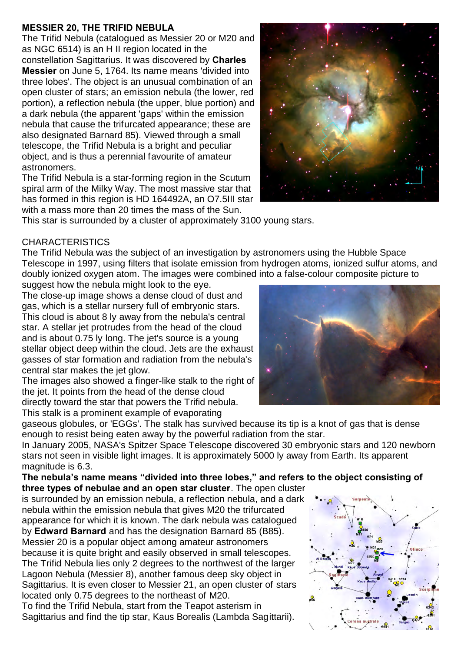## **MESSIER 20, THE TRIFID NEBULA**

The Trifid Nebula (catalogued as Messier 20 or M20 and as NGC 6514) is an H II region located in the constellation Sagittarius. It was discovered by **Charles Messier** on June 5, 1764. Its name means 'divided into three lobes'. The object is an unusual combination of an open cluster of stars; an emission nebula (the lower, red portion), a reflection nebula (the upper, blue portion) and a dark nebula (the apparent 'gaps' within the emission nebula that cause the trifurcated appearance; these are also designated Barnard 85). Viewed through a small telescope, the Trifid Nebula is a bright and peculiar object, and is thus a perennial favourite of amateur astronomers.

The Trifid Nebula is a star-forming region in the Scutum spiral arm of the Milky Way. The most massive star that has formed in this region is HD 164492A, an O7.5III star with a mass more than 20 times the mass of the Sun.



This star is surrounded by a cluster of approximately 3100 young stars.

## **CHARACTERISTICS**

The Trifid Nebula was the subject of an investigation by astronomers using the Hubble Space Telescope in 1997, using filters that isolate emission from hydrogen atoms, ionized sulfur atoms, and doubly ionized oxygen atom. The images were combined into a false-colour composite picture to

suggest how the nebula might look to the eye. The close-up image shows a dense cloud of dust and gas, which is a stellar nursery full of embryonic stars. This cloud is about 8 ly away from the nebula's central star. A stellar jet protrudes from the head of the cloud and is about 0.75 ly long. The jet's source is a young stellar object deep within the cloud. Jets are the exhaust gasses of star formation and radiation from the nebula's central star makes the jet glow.

The images also showed a finger-like stalk to the right of the jet. It points from the head of the dense cloud directly toward the star that powers the Trifid nebula. This stalk is a prominent example of evaporating



gaseous globules, or 'EGGs'. The stalk has survived because its tip is a knot of gas that is dense enough to resist being eaten away by the powerful radiation from the star.

In January 2005, NASA's Spitzer Space Telescope discovered 30 embryonic stars and 120 newborn stars not seen in visible light images. It is approximately 5000 ly away from Earth. Its apparent magnitude is 6.3.

**The nebula's name means "divided into three lobes," and refers to the object consisting of three types of nebulae and an open star cluster**. The open cluster

is surrounded by an emission nebula, a reflection nebula, and a dark nebula within the emission nebula that gives M20 the trifurcated appearance for which it is known. The dark nebula was catalogued by **Edward Barnard** and has the designation Barnard 85 (B85). Messier 20 is a popular object among amateur astronomers because it is quite bright and easily observed in small telescopes. The Trifid Nebula lies only 2 degrees to the northwest of the larger Lagoon Nebula (Messier 8), another famous deep sky object in Sagittarius. It is even closer to Messier 21, an open cluster of stars located only 0.75 degrees to the northeast of M20.

To find the Trifid Nebula, start from the Teapot asterism in Sagittarius and find the tip star, Kaus Borealis (Lambda Sagittarii).